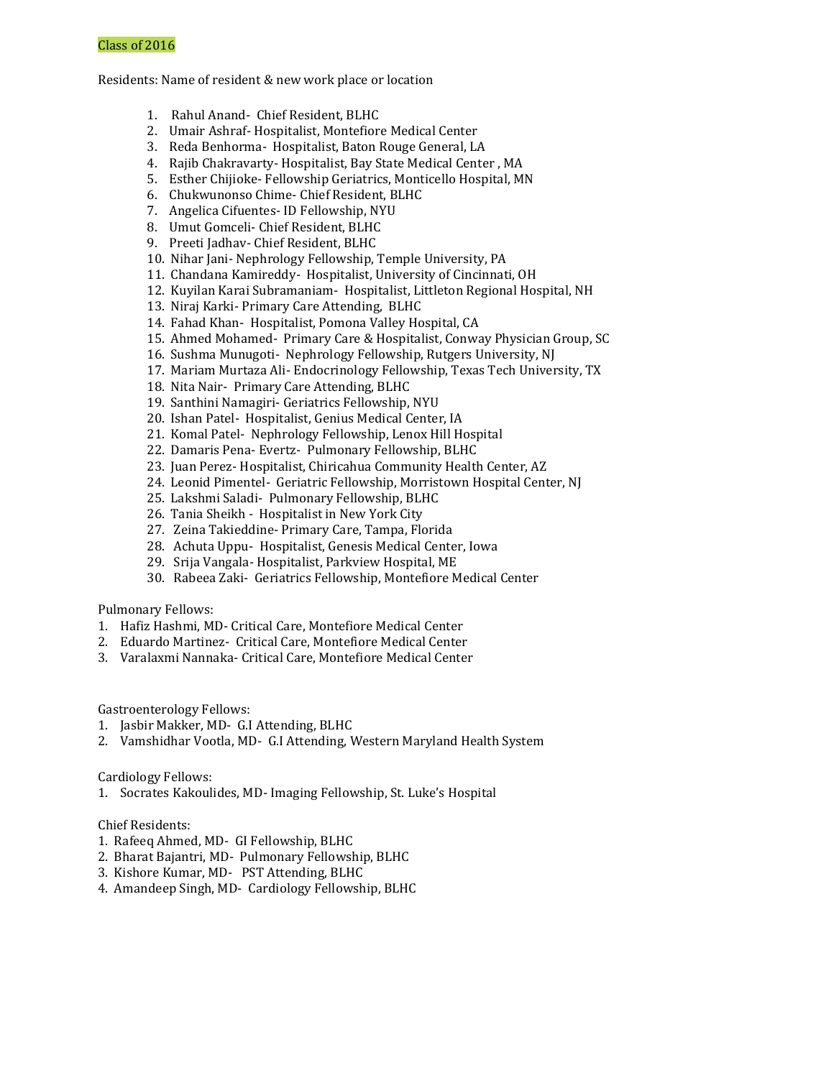Residents: Name of resident & new work place or location

- 1. Rahul Anand- Chief Resident, BLHC
- 2. Umair Ashraf- Hospitalist, Montefiore Medical Center
- 3. Reda Benhorma- Hospitalist, Baton Rouge General, LA
- 4. Rajib Chakravarty- Hospitalist, Bay State Medical Center , MA
- 5. Esther Chijioke- Fellowship Geriatrics, Monticello Hospital, MN
- 6. Chukwunonso Chime- Chief Resident, BLHC
- 7. Angelica Cifuentes- ID Fellowship, NYU
- 8. Umut Gomceli- Chief Resident, BLHC
- 9. Preeti Jadhav- Chief Resident, BLHC
- 10. Nihar Jani- Nephrology Fellowship, Temple University, PA
- 11. Chandana Kamireddy- Hospitalist, University of Cincinnati, OH
- 12. Kuyilan Karai Subramaniam- Hospitalist, Littleton Regional Hospital, NH
- 13. Niraj Karki- Primary Care Attending, BLHC
- 14. Fahad Khan- Hospitalist, Pomona Valley Hospital, CA
- 15. Ahmed Mohamed- Primary Care & Hospitalist, Conway Physician Group, SC
- 16. Sushma Munugoti- Nephrology Fellowship, Rutgers University, NJ
- 17. Mariam Murtaza Ali- Endocrinology Fellowship, Texas Tech University, TX
- 18. Nita Nair- Primary Care Attending, BLHC
- 19. Santhini Namagiri- Geriatrics Fellowship, NYU
- 20. Ishan Patel- Hospitalist, Genius Medical Center, IA
- 21. Komal Patel- Nephrology Fellowship, Lenox Hill Hospital
- 22. Damaris Pena- Evertz- Pulmonary Fellowship, BLHC
- 23. Juan Perez- Hospitalist, Chiricahua Community Health Center, AZ
- 24. Leonid Pimentel- Geriatric Fellowship, Morristown Hospital Center, NJ
- 25. Lakshmi Saladi- Pulmonary Fellowship, BLHC
- 26. Tania Sheikh Hospitalist in New York City
- 27. Zeina Takieddine- Primary Care, Tampa, Florida
- 28. Achuta Uppu- Hospitalist, Genesis Medical Center, Iowa
- 29. Srija Vangala- Hospitalist, Parkview Hospital, ME
- 30. Rabeea Zaki- Geriatrics Fellowship, Montefiore Medical Center

Pulmonary Fellows:

- 1. Hafiz Hashmi, MD- Critical Care, Montefiore Medical Center
- 2. Eduardo Martinez- Critical Care, Montefiore Medical Center
- 3. Varalaxmi Nannaka- Critical Care, Montefiore Medical Center

Gastroenterology Fellows:

- 1. Jasbir Makker, MD- G.I Attending, BLHC
- 2. Vamshidhar Vootla, MD- G.I Attending, Western Maryland Health System

Cardiology Fellows:

1. Socrates Kakoulides, MD- Imaging Fellowship, St. Luke's Hospital

Chief Residents:

- 1. Rafeeq Ahmed, MD- GI Fellowship, BLHC
- 2. Bharat Bajantri, MD- Pulmonary Fellowship, BLHC
- 3. Kishore Kumar, MD- PST Attending, BLHC
- 4. Amandeep Singh, MD- Cardiology Fellowship, BLHC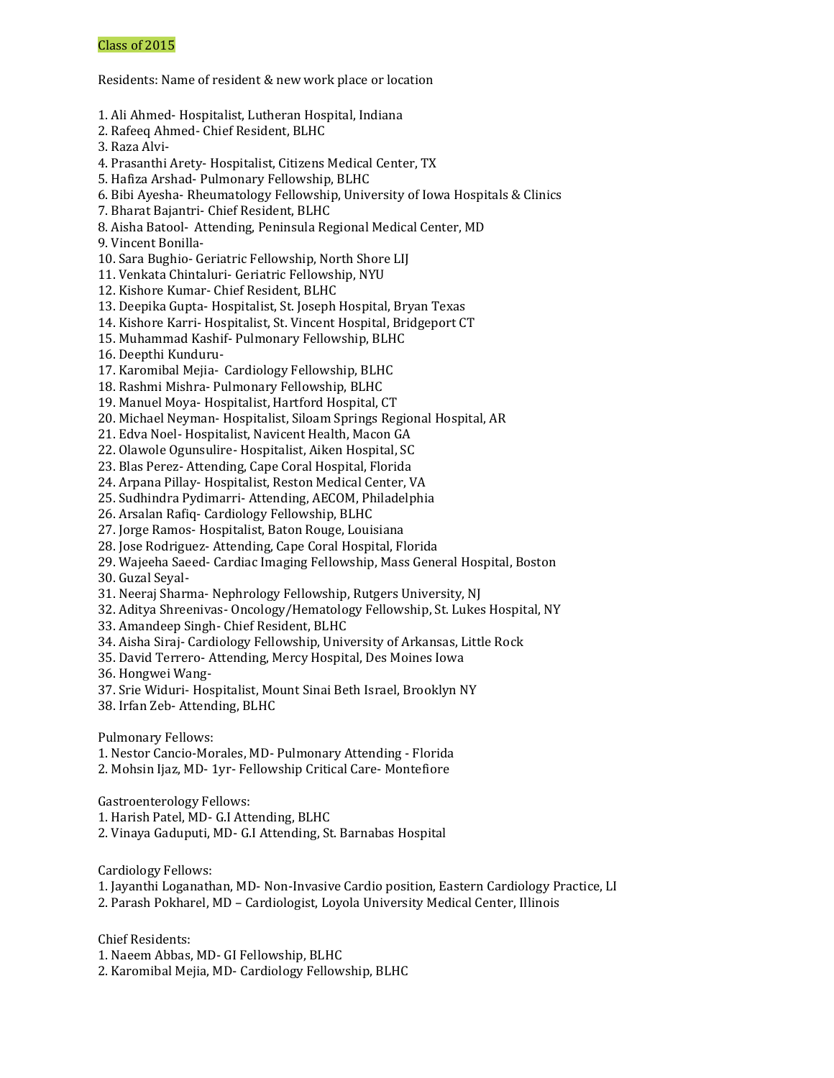Residents: Name of resident & new work place or location

- 1. Ali Ahmed- Hospitalist, Lutheran Hospital, Indiana
- 2. Rafeeq Ahmed- Chief Resident, BLHC
- 3. Raza Alvi-
- 4. Prasanthi Arety- Hospitalist, Citizens Medical Center, TX
- 5. Hafiza Arshad- Pulmonary Fellowship, BLHC
- 6. Bibi Ayesha- Rheumatology Fellowship, University of Iowa Hospitals & Clinics
- 7. Bharat Bajantri- Chief Resident, BLHC
- 8. Aisha Batool- Attending, Peninsula Regional Medical Center, MD
- 9. Vincent Bonilla-
- 10. Sara Bughio- Geriatric Fellowship, North Shore LIJ
- 11. Venkata Chintaluri- Geriatric Fellowship, NYU
- 12. Kishore Kumar- Chief Resident, BLHC
- 13. Deepika Gupta- Hospitalist, St. Joseph Hospital, Bryan Texas
- 14. Kishore Karri- Hospitalist, St. Vincent Hospital, Bridgeport CT
- 15. Muhammad Kashif- Pulmonary Fellowship, BLHC
- 16. Deepthi Kunduru-
- 17. Karomibal Mejia- Cardiology Fellowship, BLHC
- 18. Rashmi Mishra- Pulmonary Fellowship, BLHC
- 19. Manuel Moya- Hospitalist, Hartford Hospital, CT
- 20. Michael Neyman- Hospitalist, Siloam Springs Regional Hospital, AR
- 21. Edva Noel- Hospitalist, Navicent Health, Macon GA
- 22. Olawole Ogunsulire- Hospitalist, Aiken Hospital, SC
- 23. Blas Perez- Attending, Cape Coral Hospital, Florida
- 24. Arpana Pillay- Hospitalist, Reston Medical Center, VA
- 25. Sudhindra Pydimarri- Attending, AECOM, Philadelphia
- 26. Arsalan Rafiq- Cardiology Fellowship, BLHC
- 27. Jorge Ramos- Hospitalist, Baton Rouge, Louisiana
- 28. Jose Rodriguez- Attending, Cape Coral Hospital, Florida
- 29. Wajeeha Saeed- Cardiac Imaging Fellowship, Mass General Hospital, Boston
- 30. Guzal Seyal-
- 31. Neeraj Sharma- Nephrology Fellowship, Rutgers University, NJ
- 32. Aditya Shreenivas- Oncology/Hematology Fellowship, St. Lukes Hospital, NY
- 33. Amandeep Singh- Chief Resident, BLHC
- 34. Aisha Siraj- Cardiology Fellowship, University of Arkansas, Little Rock
- 35. David Terrero- Attending, Mercy Hospital, Des Moines Iowa
- 36. Hongwei Wang-
- 37. Srie Widuri- Hospitalist, Mount Sinai Beth Israel, Brooklyn NY
- 38. Irfan Zeb- Attending, BLHC
- Pulmonary Fellows:
- 1. Nestor Cancio-Morales, MD- Pulmonary Attending Florida
- 2. Mohsin Ijaz, MD- 1yr- Fellowship Critical Care- Montefiore
- Gastroenterology Fellows:
- 1. Harish Patel, MD- G.I Attending, BLHC
- 2. Vinaya Gaduputi, MD- G.I Attending, St. Barnabas Hospital
- Cardiology Fellows:
- 1. Jayanthi Loganathan, MD- Non-Invasive Cardio position, Eastern Cardiology Practice, LI
- 2. Parash Pokharel, MD Cardiologist, Loyola University Medical Center, Illinois
- Chief Residents:
- 1. Naeem Abbas, MD- GI Fellowship, BLHC
- 2. Karomibal Mejia, MD- Cardiology Fellowship, BLHC